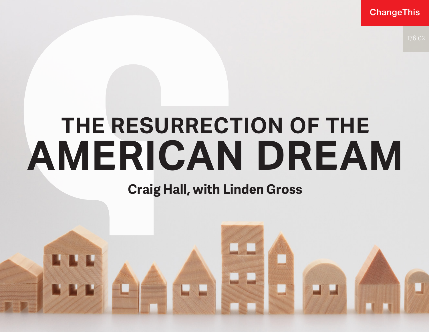**ChangeThis** 

# **THE RESURRECTION OF THE AMERICAN DREAM**

## **Craig Hall, with Linden Gross**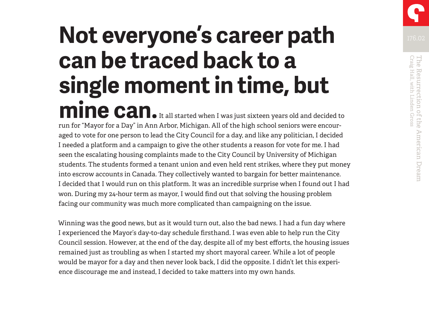## **Not everyone's career path can be traced back to a single moment in time, but mine can.** It all started when I was just sixteen years old and decided to

run for "Mayor for a Day" in Ann Arbor, Michigan. All of the high school seniors were encouraged to vote for one person to lead the City Council for a day, and like any politician, I decided I needed a platform and a campaign to give the other students a reason for vote for me. I had seen the escalating housing complaints made to the City Council by University of Michigan students. The students formed a tenant union and even held rent strikes, where they put money into escrow accounts in Canada. They collectively wanted to bargain for better maintenance. I decided that I would run on this platform. It was an incredible surprise when I found out I had won. During my 24-hour term as mayor, I would find out that solving the housing problem facing our community was much more complicated than campaigning on the issue.

Winning was the good news, but as it would turn out, also the bad news. I had a fun day where I experienced the Mayor's day-to-day schedule firsthand. I was even able to help run the City Council session. However, at the end of the day, despite all of my best efforts, the housing issues remained just as troubling as when I started my short mayoral career. While a lot of people would be mayor for a day and then never look back, I did the opposite. I didn't let this experience discourage me and instead, I decided to take matters into my own hands.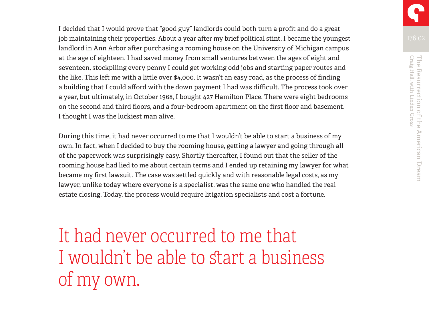I decided that I would prove that "good guy" landlords could both turn a profit and do a great job maintaining their properties. About a year after my brief political stint, I became the youngest landlord in Ann Arbor after purchasing a rooming house on the University of Michigan campus at the age of eighteen. I had saved money from small ventures between the ages of eight and seventeen, stockpiling every penny I could get working odd jobs and starting paper routes and the like. This left me with a little over \$4,000. It wasn't an easy road, as the process of finding a building that I could afford with the down payment I had was difficult. The process took over a year, but ultimately, in October 1968, I bought 427 Hamilton Place. There were eight bedrooms on the second and third floors, and a four-bedroom apartment on the first floor and basement. I thought I was the luckiest man alive.

During this time, it had never occurred to me that I wouldn't be able to start a business of my own. In fact, when I decided to buy the rooming house, getting a lawyer and going through all of the paperwork was surprisingly easy. Shortly thereafter, I found out that the seller of the rooming house had lied to me about certain terms and I ended up retaining my lawyer for what became my first lawsuit. The case was settled quickly and with reasonable legal costs, as my lawyer, unlike today where everyone is a specialist, was the same one who handled the real estate closing. Today, the process would require litigation specialists and cost a fortune.

It had never occurred to me that I wouldn't be able to start a business of my own.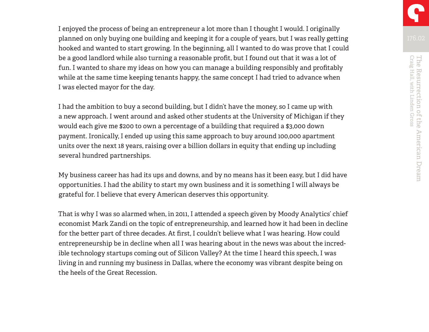I enjoyed the process of being an entrepreneur a lot more than I thought I would. I originally planned on only buying one building and keeping it for a couple of years, but I was really getting hooked and wanted to start growing. In the beginning, all I wanted to do was prove that I could be a good landlord while also turning a reasonable profit, but I found out that it was a lot of fun. I wanted to share my ideas on how you can manage a building responsibly and profitably while at the same time keeping tenants happy, the same concept I had tried to advance when I was elected mayor for the day.

I had the ambition to buy a second building, but I didn't have the money, so I came up with a new approach. I went around and asked other students at the University of Michigan if they would each give me \$200 to own a percentage of a building that required a \$3,000 down payment. Ironically, I ended up using this same approach to buy around 100,000 apartment units over the next 18 years, raising over a billion dollars in equity that ending up including several hundred partnerships.

My business career has had its ups and downs, and by no means has it been easy, but I did have opportunities. I had the ability to start my own business and it is something I will always be grateful for. I believe that every American deserves this opportunity.

That is why I was so alarmed when, in 2011, I attended a speech given by Moody Analytics' chief economist Mark Zandi on the topic of entrepreneurship, and learned how it had been in decline for the better part of three decades. At first, I couldn't believe what I was hearing. How could entrepreneurship be in decline when all I was hearing about in the news was about the incredible technology startups coming out of Silicon Valley? At the time I heard this speech, I was living in and running my business in Dallas, where the economy was vibrant despite being on the heels of the Great Recession.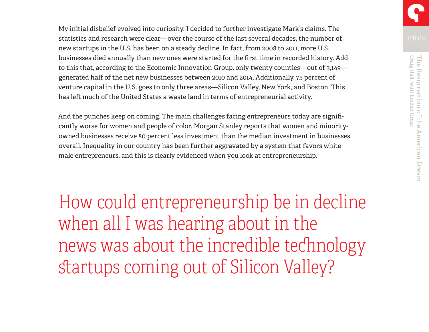My initial disbelief evolved into curiosity. I decided to further investigate Mark's claims. The statistics and research were clear—over the course of the last several decades, the number of new startups in the U.S. has been on a steady decline. In fact, from 2008 to 2011, more U.S. businesses died annually than new ones were started for the first time in recorded history. Add to this that, according to the Economic Innovation Group, only twenty counties—out of 3,149 generated half of the net new businesses between 2010 and 2014. Additionally, 75 percent of venture capital in the U.S. goes to only three areas—Silicon Valley, New York, and Boston. This has left much of the United States a waste land in terms of entrepreneurial activity.

And the punches keep on coming. The main challenges facing entrepreneurs today are significantly worse for women and people of color. Morgan Stanley reports that women and minorityowned businesses receive 80 percent less investment than the median investment in businesses overall. Inequality in our country has been further aggravated by a system that favors white male entrepreneurs, and this is clearly evidenced when you look at entrepreneurship.

How could entrepreneurship be in decline when all I was hearing about in the news was about the incredible technology startups coming out of Silicon Valley?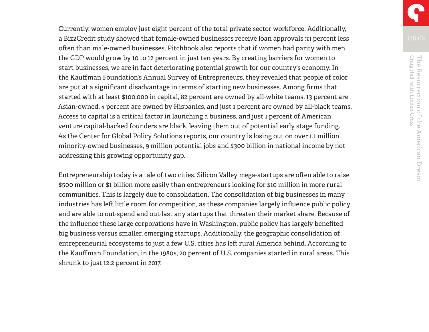Currently, women employ just eight percent of the total private sector workforce. Additionally, a Biz2Credit study showed that female-owned businesses receive loan approvals 33 percent less often than male-owned businesses. Pitchbook also reports that if women had parity with men, the GDP would grow by 10 to 12 percent in just ten years. By creating barriers for women to start businesses, we are in fact deteriorating potential growth for our country's economy. In the Kauffman Foundation's Annual Survey of Entrepreneurs, they revealed that people of color are put at a significant disadvantage in terms of starting new businesses. Among firms that started with at least \$100,000 in capital, 82 percent are owned by all-white teams, 13 percent are Asian-owned, 4 percent are owned by Hispanics, and just 1 percent are owned by all-black teams. Access to capital is a critical factor in launching a business, and just 1 percent of American venture capital-backed founders are black, leaving them out of potential early stage funding. As the Center for Global Policy Solutions reports, our country is losing out on over 1.1 million minority-owned businesses, 9 million potential jobs and \$300 billion in national income by not addressing this growing opportunity gap.

Entrepreneurship today is a tale of two cities. Silicon Valley mega-startups are often able to raise \$500 million or \$1 billion more easily than entrepreneurs looking for \$10 million in more rural communities. This is largely due to consolidation. The consolidation of big businesses in many industries has left little room for competition, as these companies largely influence public policy and are able to out-spend and out-last any startups that threaten their market share. Because of the influence these large corporations have in Washington, public policy has largely benefited big business versus smaller, emerging startups. Additionally, the geographic consolidation of entrepreneurial ecosystems to just a few U.S. cities has left rural America behind. According to the Kauffman Foundation, in the 1980s, 20 percent of U.S. companies started in rural areas. This shrunk to just 12.2 percent in 2017.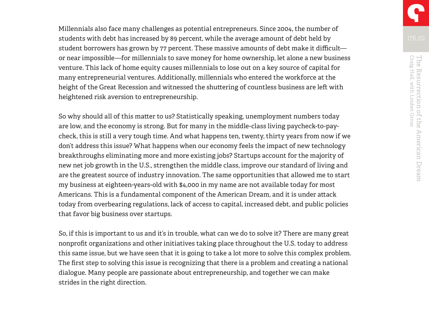Millennials also face many challenges as potential entrepreneurs. Since 2004, the number of students with debt has increased by 89 percent, while the average amount of debt held by student borrowers has grown by 77 percent. These massive amounts of debt make it difficult or near impossible—for millennials to save money for home ownership, let alone a new business venture. This lack of home equity causes millennials to lose out on a key source of capital for many entrepreneurial ventures. Additionally, millennials who entered the workforce at the height of the Great Recession and witnessed the shuttering of countless business are left with heightened risk aversion to entrepreneurship.

So why should all of this matter to us? Statistically speaking, unemployment numbers today are low, and the economy is strong. But for many in the middle-class living paycheck-to-paycheck, this is still a very tough time. And what happens ten, twenty, thirty years from now if we don't address this issue? What happens when our economy feels the impact of new technology breakthroughs eliminating more and more existing jobs? Startups account for the majority of new net job growth in the U.S., strengthen the middle class, improve our standard of living and are the greatest source of industry innovation. The same opportunities that allowed me to start my business at eighteen-years-old with \$4,000 in my name are not available today for most Americans. This is a fundamental component of the American Dream, and it is under attack today from overbearing regulations, lack of access to capital, increased debt, and public policies that favor big business over startups.

So, if this is important to us and it's in trouble, what can we do to solve it? There are many great nonprofit organizations and other initiatives taking place throughout the U.S. today to address this same issue, but we have seen that it is going to take a lot more to solve this complex problem. The first step to solving this issue is recognizing that there is a problem and creating a national dialogue. Many people are passionate about entrepreneurship, and together we can make strides in the right direction.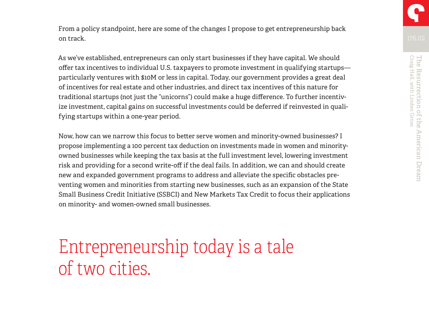From a policy standpoint, here are some of the changes I propose to get entrepreneurship back on track.

As we've established, entrepreneurs can only start businesses if they have capital. We should offer tax incentives to individual U.S. taxpayers to promote investment in qualifying startups particularly ventures with \$10M or less in capital. Today, our government provides a great deal of incentives for real estate and other industries, and direct tax incentives of this nature for traditional startups (not just the "unicorns") could make a huge difference. To further incentivize investment, capital gains on successful investments could be deferred if reinvested in qualifying startups within a one-year period.

Now, how can we narrow this focus to better serve women and minority-owned businesses? I propose implementing a 100 percent tax deduction on investments made in women and minorityowned businesses while keeping the tax basis at the full investment level, lowering investment risk and providing for a second write-off if the deal fails. In addition, we can and should create new and expanded government programs to address and alleviate the specific obstacles preventing women and minorities from starting new businesses, such as an expansion of the State Small Business Credit Initiative (SSBCI) and New Markets Tax Credit to focus their applications on minority- and women-owned small businesses.

Entrepreneurship today is a tale of two cities.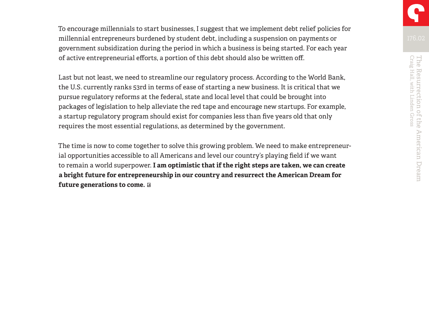To encourage millennials to start businesses, I suggest that we implement debt relief policies for millennial entrepreneurs burdened by student debt, including a suspension on payments or government subsidization during the period in which a business is being started. For each year of active entrepreneurial efforts, a portion of this debt should also be written off.

Last but not least, we need to streamline our regulatory process. According to the World Bank, the U.S. currently ranks 53rd in terms of ease of starting a new business. It is critical that we pursue regulatory reforms at the federal, state and local level that could be brought into packages of legislation to help alleviate the red tape and encourage new startups. For example, a startup regulatory program should exist for companies less than five years old that only requires the most essential regulations, as determined by the government.

The time is now to come together to solve this growing problem. We need to make entrepreneurial opportunities accessible to all Americans and level our country's playing field if we want to remain a world superpower. **I am optimistic that if the right steps are taken, we can create a bright future for entrepreneurship in our country and resurrect the American Dream for future generations to come.**